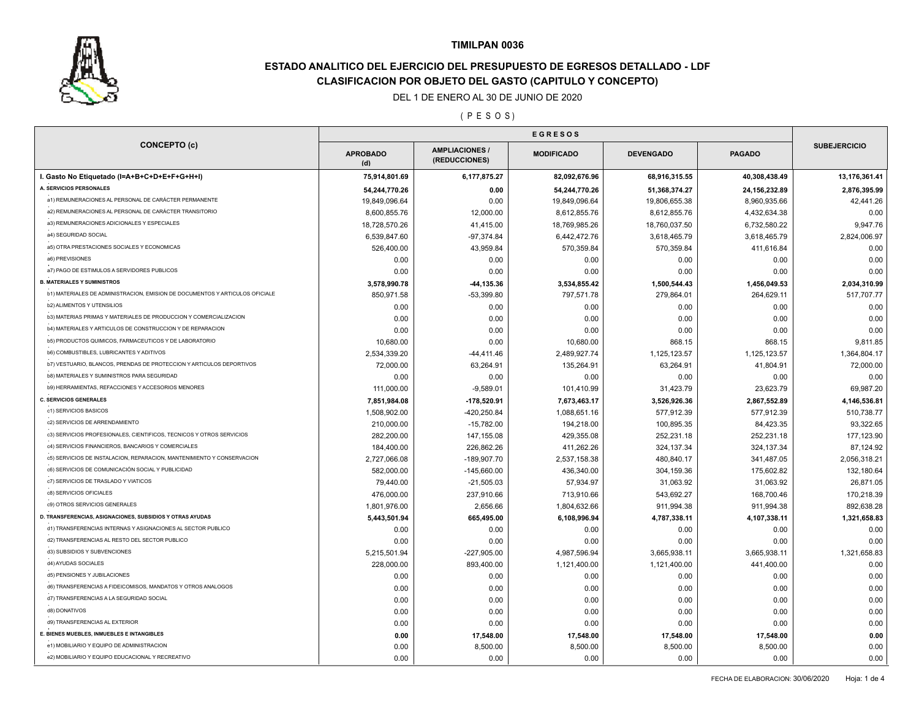

# **ESTADO ANALITICO DEL EJERCICIO DEL PRESUPUESTO DE EGRESOS DETALLADO - LDF CLASIFICACION POR OBJETO DEL GASTO (CAPITULO Y CONCEPTO)**

### DEL 1 DE ENERO AL 30 DE JUNIO DE 2020

( P E S O S )

| <b>CONCEPTO (c)</b>                                                                     | <b>APROBADO</b><br>(d) | <b>AMPLIACIONES</b><br>(REDUCCIONES) | <b>MODIFICADO</b> | <b>DEVENGADO</b> | <b>PAGADO</b>   | <b>SUBEJERCICIO</b> |
|-----------------------------------------------------------------------------------------|------------------------|--------------------------------------|-------------------|------------------|-----------------|---------------------|
| I. Gasto No Etiquetado (I=A+B+C+D+E+F+G+H+I)                                            | 75,914,801.69          | 6,177,875.27                         | 82,092,676.96     | 68,916,315.55    | 40,308,438.49   | 13,176,361.41       |
| A. SERVICIOS PERSONALES                                                                 | 54,244,770.26          | 0.00                                 | 54,244,770.26     | 51,368,374.27    | 24, 156, 232.89 | 2,876,395.99        |
| a1) REMUNERACIONES AL PERSONAL DE CARÁCTER PERMANENTE                                   | 19,849,096.64          | 0.00                                 | 19,849,096.64     | 19,806,655.38    | 8,960,935.66    | 42,441.26           |
| a2) REMUNERACIONES AL PERSONAL DE CARÁCTER TRANSITORIO                                  | 8,600,855.76           | 12,000.00                            | 8,612,855.76      | 8,612,855.76     | 4,432,634.38    | 0.00                |
| a3) REMUNERACIONES ADICIONALES Y ESPECIALES                                             | 18,728,570.26          | 41,415.00                            | 18,769,985.26     | 18,760,037.50    | 6,732,580.22    | 9,947.76            |
| a4) SEGURIDAD SOCIAL                                                                    | 6,539,847.60           | $-97,374.84$                         | 6,442,472.76      | 3,618,465.79     | 3,618,465.79    | 2,824,006.97        |
| a5) OTRA PRESTACIONES SOCIALES Y ECONOMICAS                                             | 526,400.00             | 43,959.84                            | 570,359.84        | 570,359.84       | 411,616.84      | 0.00                |
| a6) PREVISIONES                                                                         | 0.00                   | 0.00                                 | 0.00              | 0.00             | 0.00            | 0.00                |
| a7) PAGO DE ESTIMULOS A SERVIDORES PUBLICOS                                             | 0.00                   | 0.00                                 | 0.00              | 0.00             | 0.00            | 0.00                |
| <b>B. MATERIALES Y SUMINISTROS</b>                                                      | 3,578,990.78           | -44,135.36                           | 3,534,855.42      | 1,500,544.43     | 1,456,049.53    | 2,034,310.99        |
| b1) MATERIALES DE ADMINISTRACION, EMISION DE DOCUMENTOS Y ARTICULOS OFICIALE            | 850,971.58             | -53,399.80                           | 797,571.78        | 279,864.01       | 264,629.11      | 517,707.77          |
| b2) ALIMENTOS Y UTENSILIOS                                                              | 0.00                   | 0.00                                 | 0.00              | 0.00             | 0.00            | 0.00                |
| b3) MATERIAS PRIMAS Y MATERIALES DE PRODUCCION Y COMERCIALIZACION                       | 0.00                   | 0.00                                 | 0.00              | 0.00             | 0.00            | 0.00                |
| b4) MATERIALES Y ARTICULOS DE CONSTRUCCION Y DE REPARACION                              | 0.00                   | 0.00                                 | 0.00              | 0.00             | 0.00            | 0.00                |
| b5) PRODUCTOS QUIMICOS, FARMACEUTICOS Y DE LABORATORIO                                  | 10,680.00              | 0.00                                 | 10,680.00         | 868.15           | 868.15          | 9,811.85            |
| b6) COMBUSTIBLES, LUBRICANTES Y ADITIVOS                                                | 2,534,339.20           | $-44,411.46$                         | 2,489,927.74      | 1,125,123.57     | 1,125,123.57    | 1,364,804.17        |
| b7) VESTUARIO, BLANCOS, PRENDAS DE PROTECCION Y ARTICULOS DEPORTIVOS                    | 72,000.00              | 63,264.91                            | 135,264.91        | 63,264.91        | 41,804.91       | 72,000.00           |
| b8) MATERIALES Y SUMINISTROS PARA SEGURIDAD                                             | 0.00                   | 0.00                                 | 0.00              | 0.00             | 0.00            | 0.00                |
| b9) HERRAMIENTAS, REFACCIONES Y ACCESORIOS MENORES                                      | 111,000.00             | $-9,589.01$                          | 101,410.99        | 31,423.79        | 23,623.79       | 69,987.20           |
| <b>C. SERVICIOS GENERALES</b>                                                           | 7,851,984.08           | -178,520.91                          | 7,673,463.17      | 3,526,926.36     | 2,867,552.89    | 4,146,536.81        |
| c1) SERVICIOS BASICOS                                                                   | 1,508,902.00           | -420,250.84                          | 1,088,651.16      | 577,912.39       | 577,912.39      | 510,738.77          |
| c2) SERVICIOS DE ARRENDAMIENTO                                                          | 210,000.00             | $-15,782.00$                         | 194,218.00        | 100,895.35       | 84,423.35       | 93,322.65           |
| c3) SERVICIOS PROFESIONALES, CIENTIFICOS, TECNICOS Y OTROS SERVICIOS                    | 282,200.00             | 147,155.08                           | 429,355.08        | 252,231.18       | 252,231.18      | 177,123.90          |
| c4) SERVICIOS FINANCIEROS, BANCARIOS Y COMERCIALES                                      | 184,400.00             | 226,862.26                           | 411,262.26        | 324, 137.34      | 324, 137.34     | 87,124.92           |
| c5) SERVICIOS DE INSTALACION, REPARACION, MANTENIMIENTO Y CONSERVACION                  | 2,727,066.08           | -189,907.70                          | 2,537,158.38      | 480,840.17       | 341,487.05      | 2,056,318.21        |
| c6) SERVICIOS DE COMUNICACIÓN SOCIAL Y PUBLICIDAD                                       | 582,000.00             | $-145,660.00$                        | 436,340.00        | 304,159.36       | 175,602.82      | 132,180.64          |
| c7) SERVICIOS DE TRASLADO Y VIATICOS                                                    | 79,440.00              | $-21,505.03$                         | 57,934.97         | 31,063.92        | 31,063.92       | 26,871.05           |
| c8) SERVICIOS OFICIALES                                                                 |                        |                                      |                   |                  |                 |                     |
| c9) OTROS SERVICIOS GENERALES                                                           | 476,000.00             | 237,910.66                           | 713,910.66        | 543,692.27       | 168,700.46      | 170,218.39          |
| D. TRANSFERENCIAS, ASIGNACIONES, SUBSIDIOS Y OTRAS AYUDAS                               | 1,801,976.00           | 2,656.66                             | 1,804,632.66      | 911,994.38       | 911,994.38      | 892,638.28          |
| d1) TRANSFERENCIAS INTERNAS Y ASIGNACIONES AL SECTOR PUBLICO                            | 5,443,501.94           | 665,495.00                           | 6,108,996.94      | 4,787,338.11     | 4,107,338.11    | 1,321,658.83        |
| d2) TRANSFERENCIAS AL RESTO DEL SECTOR PUBLICO                                          | 0.00                   | 0.00                                 | 0.00              | 0.00             | 0.00            | 0.00                |
| d3) SUBSIDIOS Y SUBVENCIONES                                                            | 0.00                   | 0.00                                 | 0.00              | 0.00             | 0.00            | 0.00                |
| d4) AYUDAS SOCIALES                                                                     | 5,215,501.94           | $-227,905.00$                        | 4,987,596.94      | 3,665,938.11     | 3,665,938.11    | 1,321,658.83        |
| d5) PENSIONES Y JUBILACIONES                                                            | 228,000.00             | 893,400.00                           | 1,121,400.00      | 1,121,400.00     | 441,400.00      | 0.00                |
| d6) TRANSFERENCIAS A FIDEICOMISOS, MANDATOS Y OTROS ANALOGOS                            | 0.00                   | 0.00                                 | 0.00              | 0.00             | 0.00            | 0.00                |
| d7) TRANSFERENCIAS A LA SEGURIDAD SOCIAL                                                | 0.00                   | 0.00                                 | 0.00              | 0.00             | 0.00            | 0.00                |
|                                                                                         | 0.00                   | 0.00                                 | 0.00              | 0.00             | 0.00            | 0.00                |
| d8) DONATIVOS                                                                           | 0.00                   | 0.00                                 | 0.00              | 0.00             | 0.00            | 0.00                |
| d9) TRANSFERENCIAS AL EXTERIOR                                                          | 0.00                   | 0.00                                 | 0.00              | 0.00             | 0.00            | 0.00                |
| E. BIENES MUEBLES, INMUEBLES E INTANGIBLES<br>e1) MOBILIARIO Y EQUIPO DE ADMINISTRACION | 0.00                   | 17,548.00                            | 17,548.00         | 17,548.00        | 17,548.00       | 0.00                |
|                                                                                         | 0.00                   | 8,500.00                             | 8,500.00          | 8,500.00         | 8,500.00        | 0.00                |
| e2) MOBILIARIO Y EQUIPO EDUCACIONAL Y RECREATIVO                                        | 0.00                   | 0.00                                 | 0.00              | 0.00             | 0.00            | 0.00                |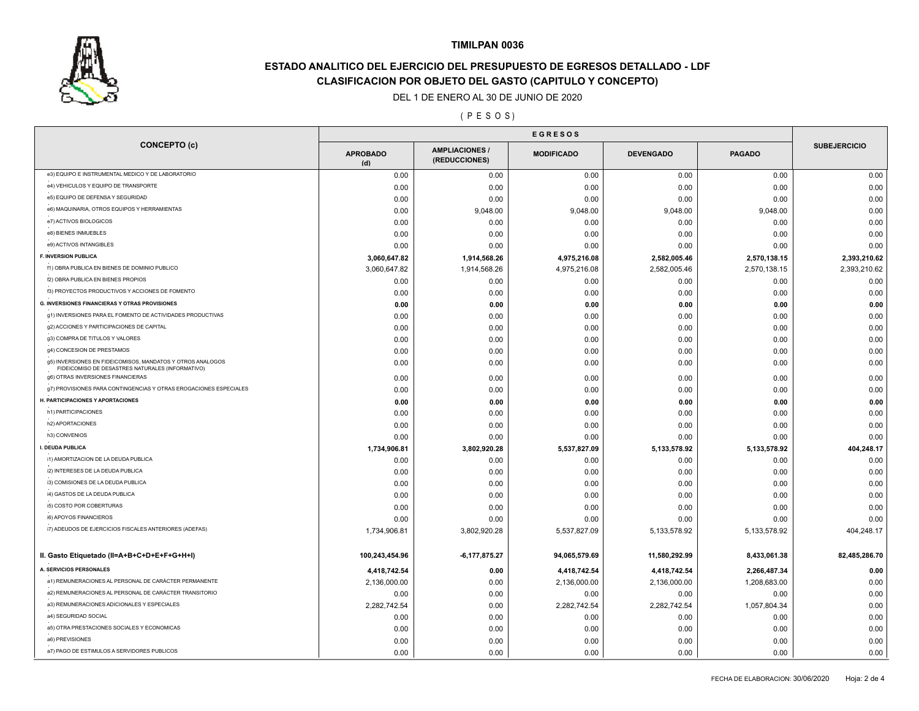

# **ESTADO ANALITICO DEL EJERCICIO DEL PRESUPUESTO DE EGRESOS DETALLADO - LDF CLASIFICACION POR OBJETO DEL GASTO (CAPITULO Y CONCEPTO)**

### DEL 1 DE ENERO AL 30 DE JUNIO DE 2020

( P E S O S )

|                                                                                                                |                        | <b>EGRESOS</b>                       |                   |                  |                 |                     |  |
|----------------------------------------------------------------------------------------------------------------|------------------------|--------------------------------------|-------------------|------------------|-----------------|---------------------|--|
| <b>CONCEPTO (c)</b>                                                                                            | <b>APROBADO</b><br>(d) | <b>AMPLIACIONES</b><br>(REDUCCIONES) | <b>MODIFICADO</b> | <b>DEVENGADO</b> | <b>PAGADO</b>   | <b>SUBEJERCICIO</b> |  |
| e3) EQUIPO E INSTRUMENTAL MEDICO Y DE LABORATORIO                                                              | 0.00                   | 0.00                                 | 0.00              | 0.00             | 0.00            | 0.00                |  |
| e4) VEHICULOS Y EQUIPO DE TRANSPORTE                                                                           | 0.00                   | 0.00                                 | 0.00              | 0.00             | 0.00            | 0.00                |  |
| e5) EQUIPO DE DEFENSA Y SEGURIDAD                                                                              | 0.00                   | 0.00                                 | 0.00              | 0.00             | 0.00            | 0.00                |  |
| e6) MAQUINARIA, OTROS EQUIPOS Y HERRAMIENTAS                                                                   | 0.00                   | 9,048.00                             | 9,048.00          | 9,048.00         | 9,048.00        | 0.00                |  |
| e7) ACTIVOS BIOLOGICOS                                                                                         | 0.00                   | 0.00                                 | 0.00              | 0.00             | 0.00            | 0.00                |  |
| e8) BIENES INMUEBLES                                                                                           | 0.00                   | 0.00                                 | 0.00              | 0.00             | 0.00            | 0.00                |  |
| e9) ACTIVOS INTANGIBLES                                                                                        | 0.00                   | 0.00                                 | 0.00              | 0.00             | 0.00            | 0.00                |  |
| <b>F. INVERSION PUBLICA</b>                                                                                    | 3,060,647.82           | 1,914,568.26                         | 4,975,216.08      | 2,582,005.46     | 2,570,138.15    | 2,393,210.62        |  |
| f1) OBRA PUBLICA EN BIENES DE DOMINIO PUBLICO                                                                  | 3,060,647.82           | 1,914,568.26                         | 4,975,216.08      | 2,582,005.46     | 2,570,138.15    | 2,393,210.62        |  |
| f2) OBRA PUBLICA EN BIENES PROPIOS                                                                             | 0.00                   | 0.00                                 | 0.00              | 0.00             | 0.00            | 0.00                |  |
| f3) PROYECTOS PRODUCTIVOS Y ACCIONES DE FOMENTO                                                                | 0.00                   | 0.00                                 | 0.00              | 0.00             | 0.00            | 0.00                |  |
| G. INVERSIONES FINANCIERAS Y OTRAS PROVISIONES                                                                 | 0.00                   | 0.00                                 | 0.00              | 0.00             | 0.00            | 0.00                |  |
| g1) INVERSIONES PARA EL FOMENTO DE ACTIVIDADES PRODUCTIVAS                                                     | 0.00                   | 0.00                                 | 0.00              | 0.00             | 0.00            | 0.00                |  |
| g2) ACCIONES Y PARTICIPACIONES DE CAPITAL                                                                      | 0.00                   | 0.00                                 | 0.00              | 0.00             | 0.00            | 0.00                |  |
| g3) COMPRA DE TITULOS Y VALORES                                                                                | 0.00                   | 0.00                                 | 0.00              | 0.00             | 0.00            | 0.00                |  |
| g4) CONCESION DE PRESTAMOS                                                                                     | 0.00                   | 0.00                                 | 0.00              | 0.00             | 0.00            | 0.00                |  |
| g5) INVERSIONES EN FIDEICOMISOS, MANDATOS Y OTROS ANALOGOS<br>FIDEICOMISO DE DESASTRES NATURALES (INFORMATIVO) | 0.00                   | 0.00                                 | 0.00              | 0.00             | 0.00            | 0.00                |  |
| g6) OTRAS INVERSIONES FINANCIERAS                                                                              | 0.00                   | 0.00                                 | 0.00              | 0.00             | 0.00            | 0.00                |  |
| g7) PROVISIONES PARA CONTINGENCIAS Y OTRAS EROGACIONES ESPECIALES                                              | 0.00                   | 0.00                                 | 0.00              | 0.00             | 0.00            | 0.00                |  |
| H. PARTICIPACIONES Y APORTACIONES                                                                              | 0.00                   | 0.00                                 | 0.00              | 0.00             | 0.00            | 0.00                |  |
| h1) PARTICIPACIONES                                                                                            | 0.00                   | 0.00                                 | 0.00              | 0.00             | 0.00            | 0.00                |  |
| h2) APORTACIONES                                                                                               | 0.00                   | 0.00                                 | 0.00              | 0.00             | 0.00            | 0.00                |  |
| h3) CONVENIOS                                                                                                  | 0.00                   | 0.00                                 | 0.00              | 0.00             | 0.00            | 0.00                |  |
| I. DEUDA PUBLICA                                                                                               | 1,734,906.81           | 3,802,920.28                         | 5,537,827.09      | 5,133,578.92     | 5,133,578.92    | 404,248.17          |  |
| i1) AMORTIZACION DE LA DEUDA PUBLICA                                                                           | 0.00                   | 0.00                                 | 0.00              | 0.00             | 0.00            | 0.00                |  |
| i2) INTERESES DE LA DEUDA PUBLICA                                                                              | 0.00                   | 0.00                                 | 0.00              | 0.00             | 0.00            | 0.00                |  |
| i3) COMISIONES DE LA DEUDA PUBLICA                                                                             | 0.00                   | 0.00                                 | 0.00              | 0.00             | 0.00            | 0.00                |  |
| i4) GASTOS DE LA DEUDA PUBLICA                                                                                 | 0.00                   | 0.00                                 | 0.00              | 0.00             | 0.00            | 0.00                |  |
| i5) COSTO POR COBERTURAS                                                                                       | 0.00                   | 0.00                                 | 0.00              | 0.00             | 0.00            | 0.00                |  |
| i6) APOYOS FINANCIEROS                                                                                         | 0.00                   | 0.00                                 | 0.00              | 0.00             | 0.00            | 0.00                |  |
| i7) ADEUDOS DE EJERCICIOS FISCALES ANTERIORES (ADEFAS)                                                         | 1,734,906.81           | 3,802,920.28                         | 5,537,827.09      | 5,133,578.92     | 5, 133, 578. 92 | 404,248.17          |  |
| II. Gasto Etiquetado (II=A+B+C+D+E+F+G+H+I)                                                                    | 100,243,454.96         | $-6, 177, 875.27$                    | 94,065,579.69     | 11,580,292.99    | 8,433,061.38    | 82,485,286.70       |  |
| A. SERVICIOS PERSONALES                                                                                        | 4,418,742.54           | 0.00                                 | 4,418,742.54      | 4,418,742.54     | 2,266,487.34    | 0.00                |  |
| a1) REMUNERACIONES AL PERSONAL DE CARÁCTER PERMANENTE                                                          | 2,136,000.00           | 0.00                                 | 2,136,000.00      | 2,136,000.00     | 1,208,683.00    | 0.00                |  |
| a2) REMUNERACIONES AL PERSONAL DE CARÁCTER TRANSITORIO                                                         | 0.00                   | 0.00                                 | 0.00              | 0.00             | 0.00            | 0.00                |  |
| a3) REMUNERACIONES ADICIONALES Y ESPECIALES                                                                    | 2,282,742.54           | 0.00                                 | 2,282,742.54      | 2,282,742.54     | 1,057,804.34    | 0.00                |  |
| a4) SEGURIDAD SOCIAL                                                                                           | 0.00                   | 0.00                                 | 0.00              | 0.00             | 0.00            | 0.00                |  |
| a5) OTRA PRESTACIONES SOCIALES Y ECONOMICAS                                                                    | 0.00                   | 0.00                                 | 0.00              | 0.00             | 0.00            | 0.00                |  |
| a6) PREVISIONES                                                                                                | 0.00                   | 0.00                                 | 0.00              | 0.00             | 0.00            | 0.00                |  |
| a7) PAGO DE ESTIMULOS A SERVIDORES PUBLICOS                                                                    | 0.00                   | 0.00                                 | 0.00              | 0.00             | 0.00            | 0.00                |  |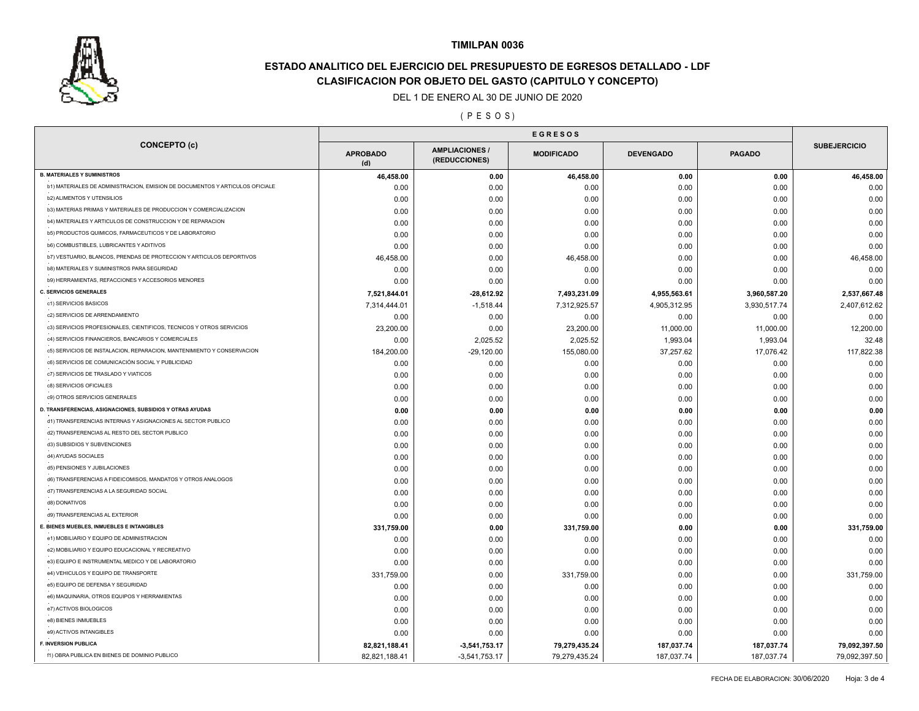

# **ESTADO ANALITICO DEL EJERCICIO DEL PRESUPUESTO DE EGRESOS DETALLADO - LDF CLASIFICACION POR OBJETO DEL GASTO (CAPITULO Y CONCEPTO)**

#### DEL 1 DE ENERO AL 30 DE JUNIO DE 2020

( P E S O S )

| <b>CONCEPTO (c)</b>                                                          | <b>APROBADO</b><br>(d) | <b>AMPLIACIONES</b><br>(REDUCCIONES) | <b>MODIFICADO</b> | <b>DEVENGADO</b> | <b>PAGADO</b> | <b>SUBEJERCICIO</b> |
|------------------------------------------------------------------------------|------------------------|--------------------------------------|-------------------|------------------|---------------|---------------------|
| <b>B. MATERIALES Y SUMINISTROS</b>                                           | 46,458.00              | 0.00                                 | 46,458.00         | 0.00             | 0.00          | 46,458.00           |
| b1) MATERIALES DE ADMINISTRACION, EMISION DE DOCUMENTOS Y ARTICULOS OFICIALE | 0.00                   | 0.00                                 | 0.00              | 0.00             | 0.00          | 0.00                |
| <b>b2) ALIMENTOS Y UTENSILIOS</b>                                            | 0.00                   | 0.00                                 | 0.00              | 0.00             | 0.00          | 0.00                |
| b3) MATERIAS PRIMAS Y MATERIALES DE PRODUCCION Y COMERCIALIZACION            | 0.00                   | 0.00                                 | 0.00              | 0.00             | 0.00          | 0.00                |
| b4) MATERIALES Y ARTICULOS DE CONSTRUCCION Y DE REPARACION                   | 0.00                   | 0.00                                 | 0.00              | 0.00             | 0.00          | 0.00                |
| b5) PRODUCTOS QUIMICOS, FARMACEUTICOS Y DE LABORATORIO                       | 0.00                   | 0.00                                 | 0.00              | 0.00             | 0.00          | 0.00                |
| <b>b6) COMBUSTIBLES, LUBRICANTES Y ADITIVOS</b>                              | 0.00                   | 0.00                                 | 0.00              | 0.00             | 0.00          | 0.00                |
| b7) VESTUARIO, BLANCOS, PRENDAS DE PROTECCION Y ARTICULOS DEPORTIVOS         | 46,458.00              | 0.00                                 | 46,458.00         | 0.00             | 0.00          | 46,458.00           |
| b8) MATERIALES Y SUMINISTROS PARA SEGURIDAD                                  | 0.00                   | 0.00                                 | 0.00              | 0.00             | 0.00          | 0.00                |
| b9) HERRAMIENTAS, REFACCIONES Y ACCESORIOS MENORES                           | 0.00                   | 0.00                                 | 0.00              | 0.00             | 0.00          | 0.00                |
| <b>C. SERVICIOS GENERALES</b>                                                | 7,521,844.01           | $-28,612.92$                         | 7,493,231.09      | 4,955,563.61     | 3,960,587.20  | 2,537,667.48        |
| c1) SERVICIOS BASICOS                                                        | 7,314,444.01           | $-1,518.44$                          | 7,312,925.57      | 4,905,312.95     | 3,930,517.74  | 2,407,612.62        |
| c2) SERVICIOS DE ARRENDAMIENTO                                               | 0.00                   | 0.00                                 | 0.00              | 0.00             | 0.00          | 0.00                |
| c3) SERVICIOS PROFESIONALES, CIENTIFICOS, TECNICOS Y OTROS SERVICIOS         | 23,200.00              | 0.00                                 | 23,200.00         | 11,000.00        | 11,000.00     | 12,200.00           |
| c4) SERVICIOS FINANCIEROS, BANCARIOS Y COMERCIALES                           | 0.00                   | 2,025.52                             | 2,025.52          | 1,993.04         | 1,993.04      | 32.48               |
| c5) SERVICIOS DE INSTALACION, REPARACION, MANTENIMIENTO Y CONSERVACION       | 184,200.00             | $-29,120.00$                         | 155,080.00        | 37,257.62        | 17,076.42     | 117,822.38          |
| c6) SERVICIOS DE COMUNICACIÓN SOCIAL Y PUBLICIDAD                            | 0.00                   | 0.00                                 | 0.00              | 0.00             | 0.00          | 0.00                |
| c7) SERVICIOS DE TRASLADO Y VIATICOS                                         | 0.00                   | 0.00                                 | 0.00              | 0.00             | 0.00          | 0.00                |
| c8) SERVICIOS OFICIALES                                                      | 0.00                   | 0.00                                 | 0.00              | 0.00             | 0.00          | 0.00                |
| c9) OTROS SERVICIOS GENERALES                                                | 0.00                   | 0.00                                 | 0.00              | 0.00             | 0.00          | 0.00                |
| D. TRANSFERENCIAS, ASIGNACIONES, SUBSIDIOS Y OTRAS AYUDAS                    | 0.00                   | 0.00                                 | 0.00              | 0.00             | 0.00          | 0.00                |
| d1) TRANSFERENCIAS INTERNAS Y ASIGNACIONES AL SECTOR PUBLICO                 | 0.00                   | 0.00                                 | 0.00              | 0.00             | 0.00          | 0.00                |
| d2) TRANSFERENCIAS AL RESTO DEL SECTOR PUBLICO                               | 0.00                   | 0.00                                 | 0.00              | 0.00             | 0.00          | 0.00                |
| d3) SUBSIDIOS Y SUBVENCIONES                                                 | 0.00                   | 0.00                                 | 0.00              | 0.00             | 0.00          | 0.00                |
| d4) AYUDAS SOCIALES                                                          | 0.00                   | 0.00                                 | 0.00              | 0.00             | 0.00          | 0.00                |
| d5) PENSIONES Y JUBILACIONES                                                 | 0.00                   | 0.00                                 | 0.00              | 0.00             | 0.00          | 0.00                |
| d6) TRANSFERENCIAS A FIDEICOMISOS, MANDATOS Y OTROS ANALOGOS                 | 0.00                   | 0.00                                 | 0.00              | 0.00             | 0.00          | 0.00                |
| d7) TRANSFERENCIAS A LA SEGURIDAD SOCIAL                                     |                        |                                      |                   |                  |               |                     |
| d8) DONATIVOS                                                                | 0.00<br>0.00           | 0.00                                 | 0.00              | 0.00             | 0.00          | 0.00<br>0.00        |
| d9) TRANSFERENCIAS AL EXTERIOR                                               |                        | 0.00                                 | 0.00              | 0.00             | 0.00          |                     |
| E. BIENES MUEBLES, INMUEBLES E INTANGIBLES                                   | 0.00                   | 0.00                                 | 0.00              | 0.00             | 0.00          | 0.00                |
| e1) MOBILIARIO Y EQUIPO DE ADMINISTRACION                                    | 331,759.00             | 0.00                                 | 331,759.00        | 0.00             | 0.00          | 331,759.00          |
| e2) MOBILIARIO Y EQUIPO EDUCACIONAL Y RECREATIVO                             | 0.00                   | 0.00                                 | 0.00              | 0.00             | 0.00          | 0.00                |
| e3) EQUIPO E INSTRUMENTAL MEDICO Y DE LABORATORIO                            | 0.00                   | 0.00                                 | 0.00              | 0.00             | 0.00          | 0.00                |
|                                                                              | 0.00                   | 0.00                                 | 0.00              | 0.00             | 0.00          | 0.00                |
| e4) VEHICULOS Y EQUIPO DE TRANSPORTE                                         | 331,759.00             | 0.00                                 | 331,759.00        | 0.00             | 0.00          | 331,759.00          |
| e5) EQUIPO DE DEFENSA Y SEGURIDAD                                            | 0.00                   | 0.00                                 | 0.00              | 0.00             | 0.00          | 0.00                |
| e6) MAQUINARIA, OTROS EQUIPOS Y HERRAMIENTAS                                 | 0.00                   | 0.00                                 | 0.00              | 0.00             | 0.00          | 0.00                |
| e7) ACTIVOS BIOLOGICOS                                                       | 0.00                   | 0.00                                 | 0.00              | 0.00             | 0.00          | 0.00                |
| e8) BIENES INMUEBLES                                                         | 0.00                   | 0.00                                 | 0.00              | 0.00             | 0.00          | 0.00                |
| e9) ACTIVOS INTANGIBLES                                                      | 0.00                   | 0.00                                 | 0.00              | 0.00             | 0.00          | 0.00                |
| F. INVERSION PUBLICA                                                         | 82,821,188.41          | $-3,541,753.17$                      | 79,279,435.24     | 187,037.74       | 187,037.74    | 79,092,397.50       |
| f1) OBRA PUBLICA EN BIENES DE DOMINIO PUBLICO                                | 82,821,188.41          | $-3,541,753.17$                      | 79,279,435.24     | 187,037.74       | 187,037.74    | 79,092,397.50       |